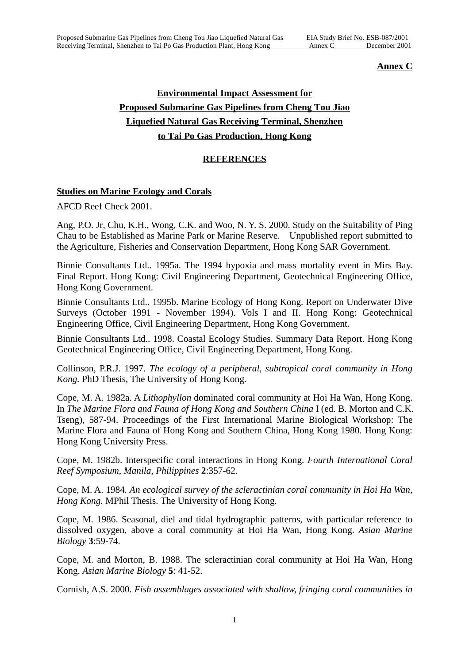## **Annex C**

## **Environmental Impact Assessment for Proposed Submarine Gas Pipelines from Cheng Tou Jiao Liquefied Natural Gas Receiving Terminal, Shenzhen to Tai Po Gas Production, Hong Kong**

## **REFERENCES**

## **Studies on Marine Ecology and Corals**

AFCD Reef Check 2001.

Ang, P.O. Jr, Chu, K.H., Wong, C.K. and Woo, N. Y. S. 2000. Study on the Suitability of Ping Chau to be Established as Marine Park or Marine Reserve. Unpublished report submitted to the Agriculture, Fisheries and Conservation Department, Hong Kong SAR Government.

Binnie Consultants Ltd.. 1995a. The 1994 hypoxia and mass mortality event in Mirs Bay. Final Report. Hong Kong: Civil Engineering Department, Geotechnical Engineering Office, Hong Kong Government.

Binnie Consultants Ltd.. 1995b. Marine Ecology of Hong Kong. Report on Underwater Dive Surveys (October 1991 - November 1994). Vols I and II. Hong Kong: Geotechnical Engineering Office, Civil Engineering Department, Hong Kong Government.

Binnie Consultants Ltd.. 1998. Coastal Ecology Studies. Summary Data Report. Hong Kong Geotechnical Engineering Office, Civil Engineering Department, Hong Kong.

Collinson, P.R.J. 1997. *The ecology of a peripheral, subtropical coral community in Hong Kong.* PhD Thesis, The University of Hong Kong.

Cope, M. A. 1982a. A *Lithophyllon* dominated coral community at Hoi Ha Wan, Hong Kong. In *The Marine Flora and Fauna of Hong Kong and Southern China* I (ed. B. Morton and C.K. Tseng), 587-94. Proceedings of the First International Marine Biological Workshop: The Marine Flora and Fauna of Hong Kong and Southern China, Hong Kong 1980. Hong Kong: Hong Kong University Press.

Cope, M. 1982b. Interspecific coral interactions in Hong Kong. *Fourth International Coral Reef Symposium, Manila, Philippines* **2**:357-62*.*

Cope, M. A. 1984*. An ecological survey of the scleractinian coral community in Hoi Ha Wan, Hong Kong.* MPhil Thesis. The University of Hong Kong.

Cope, M. 1986. Seasonal, diel and tidal hydrographic patterns, with particular reference to dissolved oxygen, above a coral community at Hoi Ha Wan, Hong Kong. *Asian Marine Biology* **3**:59-74.

Cope, M. and Morton, B. 1988. The scleractinian coral community at Hoi Ha Wan, Hong Kong. *Asian Marine Biology* **5**: 41-52.

Cornish, A.S. 2000. *Fish assemblages associated with shallow, fringing coral communities in*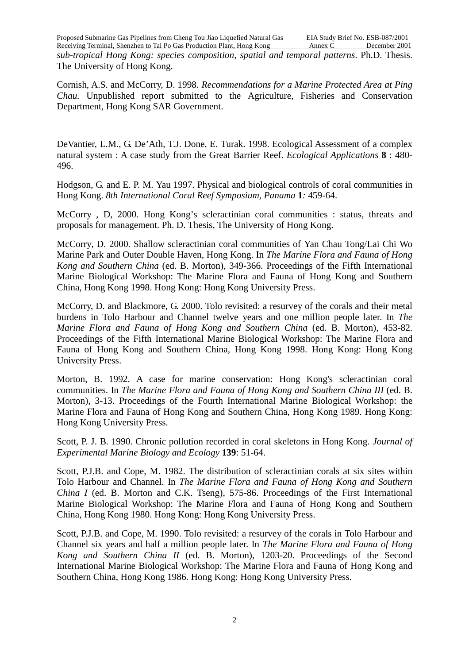*sub-tropical Hong Kong: species composition, spatial and temporal patterns*. Ph.D. Thesis. The University of Hong Kong.

Cornish, A.S. and McCorry, D. 1998*. Recommendations for a Marine Protected Area at Ping Chau.* Unpublished report submitted to the Agriculture, Fisheries and Conservation Department, Hong Kong SAR Government.

DeVantier, L.M., G. De'Ath, T.J. Done, E. Turak. 1998. Ecological Assessment of a complex natural system : A case study from the Great Barrier Reef. *Ecological Applications* **8** : 480- 496.

Hodgson, G. and E. P. M. Yau 1997. Physical and biological controls of coral communities in Hong Kong. *8th International Coral Reef Symposium, Panama* **1***:* 459-64.

McCorry , D, 2000. Hong Kong's scleractinian coral communities : status, threats and proposals for management. Ph. D. Thesis, The University of Hong Kong.

McCorry, D. 2000. Shallow scleractinian coral communities of Yan Chau Tong/Lai Chi Wo Marine Park and Outer Double Haven, Hong Kong. In *The Marine Flora and Fauna of Hong Kong and Southern China* (ed. B. Morton), 349-366. Proceedings of the Fifth International Marine Biological Workshop: The Marine Flora and Fauna of Hong Kong and Southern China*,* Hong Kong 1998. Hong Kong: Hong Kong University Press.

McCorry, D. and Blackmore, G. 2000. Tolo revisited: a resurvey of the corals and their metal burdens in Tolo Harbour and Channel twelve years and one million people later. In *The Marine Flora and Fauna of Hong Kong and Southern China* (ed. B. Morton), 453-82. Proceedings of the Fifth International Marine Biological Workshop: The Marine Flora and Fauna of Hong Kong and Southern China*,* Hong Kong 1998. Hong Kong: Hong Kong University Press.

Morton, B. 1992. A case for marine conservation: Hong Kong's scleractinian coral communities. In *The Marine Flora and Fauna of Hong Kong and Southern China III* (ed. B. Morton), 3-13. Proceedings of the Fourth International Marine Biological Workshop: the Marine Flora and Fauna of Hong Kong and Southern China, Hong Kong 1989. Hong Kong: Hong Kong University Press.

Scott, P. J. B. 1990. Chronic pollution recorded in coral skeletons in Hong Kong. *Journal of Experimental Marine Biology and Ecology* **139**: 51-64.

Scott, P.J.B. and Cope, M. 1982. The distribution of scleractinian corals at six sites within Tolo Harbour and Channel. In *The Marine Flora and Fauna of Hong Kong and Southern China I* (ed. B. Morton and C.K. Tseng), 575-86. Proceedings of the First International Marine Biological Workshop: The Marine Flora and Fauna of Hong Kong and Southern China, Hong Kong 1980. Hong Kong: Hong Kong University Press.

Scott, P.J.B. and Cope, M. 1990. Tolo revisited: a resurvey of the corals in Tolo Harbour and Channel six years and half a million people later. In *The Marine Flora and Fauna of Hong Kong and Southern China II* (ed. B. Morton), 1203-20. Proceedings of the Second International Marine Biological Workshop: The Marine Flora and Fauna of Hong Kong and Southern China, Hong Kong 1986. Hong Kong: Hong Kong University Press.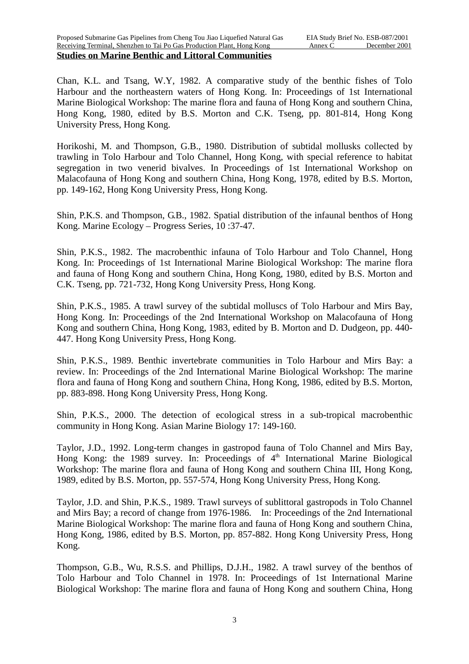**Studies on Marine Benthic and Littoral Communities**

Chan, K.L. and Tsang, W.Y, 1982. A comparative study of the benthic fishes of Tolo Harbour and the northeastern waters of Hong Kong. In: Proceedings of 1st International Marine Biological Workshop: The marine flora and fauna of Hong Kong and southern China, Hong Kong, 1980, edited by B.S. Morton and C.K. Tseng, pp. 801-814, Hong Kong University Press, Hong Kong.

Horikoshi, M. and Thompson, G.B., 1980. Distribution of subtidal mollusks collected by trawling in Tolo Harbour and Tolo Channel, Hong Kong, with special reference to habitat segregation in two venerid bivalves. In Proceedings of 1st International Workshop on Malacofauna of Hong Kong and southern China, Hong Kong, 1978, edited by B.S. Morton, pp. 149-162, Hong Kong University Press, Hong Kong.

Shin, P.K.S. and Thompson, G.B., 1982. Spatial distribution of the infaunal benthos of Hong Kong. Marine Ecology – Progress Series, 10 :37-47.

Shin, P.K.S., 1982. The macrobenthic infauna of Tolo Harbour and Tolo Channel, Hong Kong. In: Proceedings of 1st International Marine Biological Workshop: The marine flora and fauna of Hong Kong and southern China, Hong Kong, 1980, edited by B.S. Morton and C.K. Tseng, pp. 721-732, Hong Kong University Press, Hong Kong.

Shin, P.K.S., 1985. A trawl survey of the subtidal molluscs of Tolo Harbour and Mirs Bay, Hong Kong. In: Proceedings of the 2nd International Workshop on Malacofauna of Hong Kong and southern China, Hong Kong, 1983, edited by B. Morton and D. Dudgeon, pp. 440- 447. Hong Kong University Press, Hong Kong.

Shin, P.K.S., 1989. Benthic invertebrate communities in Tolo Harbour and Mirs Bay: a review. In: Proceedings of the 2nd International Marine Biological Workshop: The marine flora and fauna of Hong Kong and southern China, Hong Kong, 1986, edited by B.S. Morton, pp. 883-898. Hong Kong University Press, Hong Kong.

Shin, P.K.S., 2000. The detection of ecological stress in a sub-tropical macrobenthic community in Hong Kong. Asian Marine Biology 17: 149-160.

Taylor, J.D., 1992. Long-term changes in gastropod fauna of Tolo Channel and Mirs Bay, Hong Kong: the 1989 survey. In: Proceedings of  $4<sup>th</sup>$  International Marine Biological Workshop: The marine flora and fauna of Hong Kong and southern China III, Hong Kong, 1989, edited by B.S. Morton, pp. 557-574, Hong Kong University Press, Hong Kong.

Taylor, J.D. and Shin, P.K.S., 1989. Trawl surveys of sublittoral gastropods in Tolo Channel and Mirs Bay; a record of change from 1976-1986. In: Proceedings of the 2nd International Marine Biological Workshop: The marine flora and fauna of Hong Kong and southern China, Hong Kong, 1986, edited by B.S. Morton, pp. 857-882. Hong Kong University Press, Hong Kong.

Thompson, G.B., Wu, R.S.S. and Phillips, D.J.H., 1982. A trawl survey of the benthos of Tolo Harbour and Tolo Channel in 1978. In: Proceedings of 1st International Marine Biological Workshop: The marine flora and fauna of Hong Kong and southern China, Hong